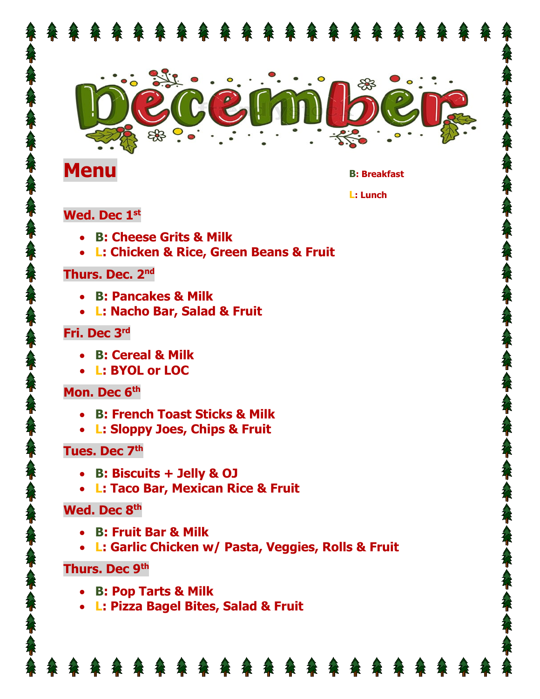

# **Menu** B: Breakfast

**L: Lunch** 

#### **Wed. Dec 1st**

- **B: Cheese Grits & Milk**
- **L: Chicken & Rice, Green Beans & Fruit**

#### **Thurs. Dec. 2nd**

- **B: Pancakes & Milk**
- **L: Nacho Bar, Salad & Fruit**

# **Fri. Dec 3rd**

- **B: Cereal & Milk**
- **L: BYOL or LOC**

# **Mon. Dec 6th**

- **B: French Toast Sticks & Milk**
- **L: Sloppy Joes, Chips & Fruit**

# **Tues. Dec 7th**

- **B: Biscuits + Jelly & OJ**
- **L: Taco Bar, Mexican Rice & Fruit**

# **Wed. Dec 8th**

- **B: Fruit Bar & Milk**
- **L: Garlic Chicken w/ Pasta, Veggies, Rolls & Fruit**

# **Thurs. Dec 9th**

- **B: Pop Tarts & Milk**
- **L: Pizza Bagel Bites, Salad & Fruit**